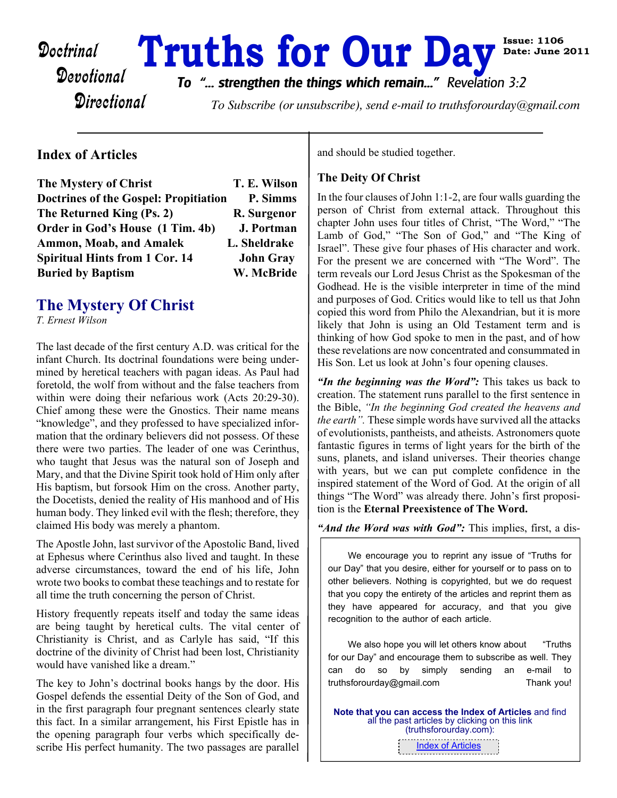# Doctrinal **Truths for Our Day** Bate: June

**Directional** 

*To "... strengthen the things which remain..." Revelation 3:2*

To Subscribe (or unsubscribe), send e-mail to truthsforourday@gmail.com

#### **Index of Articles**

| The Mystery of Christ                        | T. E. Wilson     |
|----------------------------------------------|------------------|
| <b>Doctrines of the Gospel: Propitiation</b> | P. Simms         |
| The Returned King (Ps. 2)                    | R. Surgenor      |
| Order in God's House (1 Tim. 4b)             | J. Portman       |
| <b>Ammon, Moab, and Amalek</b>               | L. Sheldrake     |
| <b>Spiritual Hints from 1 Cor. 14</b>        | <b>John Gray</b> |
| <b>Buried by Baptism</b>                     | W. McBride       |

# **The Mystery Of Christ**

*T. Ernest Wilson*

The last decade of the first century A.D. was critical for the infant Church. Its doctrinal foundations were being undermined by heretical teachers with pagan ideas. As Paul had foretold, the wolf from without and the false teachers from within were doing their nefarious work (Acts 20:29-30). Chief among these were the Gnostics. Their name means "knowledge", and they professed to have specialized information that the ordinary believers did not possess. Of these there were two parties. The leader of one was Cerinthus, who taught that Jesus was the natural son of Joseph and Mary, and that the Divine Spirit took hold of Him only after His baptism, but forsook Him on the cross. Another party, the Docetists, denied the reality of His manhood and of His human body. They linked evil with the flesh; therefore, they claimed His body was merely a phantom.

The Apostle John, last survivor of the Apostolic Band, lived at Ephesus where Cerinthus also lived and taught. In these adverse circumstances, toward the end of his life, John wrote two books to combat these teachings and to restate for all time the truth concerning the person of Christ.

History frequently repeats itself and today the same ideas are being taught by heretical cults. The vital center of Christianity is Christ, and as Carlyle has said, "If this doctrine of the divinity of Christ had been lost, Christianity would have vanished like a dream."

The key to John's doctrinal books hangs by the door. His Gospel defends the essential Deity of the Son of God, and in the first paragraph four pregnant sentences clearly state this fact. In a similar arrangement, his First Epistle has in the opening paragraph four verbs which specifically describe His perfect humanity. The two passages are parallel and should be studied together.

#### **The Deity Of Christ**

In the four clauses of John 1:1-2, are four walls guarding the person of Christ from external attack. Throughout this chapter John uses four titles of Christ, "The Word," "The Lamb of God," "The Son of God," and "The King of Israel". These give four phases of His character and work. For the present we are concerned with "The Word". The term reveals our Lord Jesus Christ as the Spokesman of the Godhead. He is the visible interpreter in time of the mind and purposes of God. Critics would like to tell us that John copied this word from Philo the Alexandrian, but it is more likely that John is using an Old Testament term and is thinking of how God spoke to men in the past, and of how these revelations are now concentrated and consummated in His Son. Let us look at John's four opening clauses.

**Date: June 2011**

*"In the beginning was the Word":* This takes us back to creation. The statement runs parallel to the first sentence in the Bible, *"In the beginning God created the heavens and the earth".* These simple words have survived all the attacks of evolutionists, pantheists, and atheists. Astronomers quote fantastic figures in terms of light years for the birth of the suns, planets, and island universes. Their theories change with years, but we can put complete confidence in the inspired statement of the Word of God. At the origin of all things "The Word" was already there. John's first proposition is the **Eternal Preexistence of The Word.**

*"And the Word was with God":* This implies, first, a dis-

We encourage you to reprint any issue of "Truths for our Day" that you desire, either for yourself or to pass on to other believers. Nothing is copyrighted, but we do request that you copy the entirety of the articles and reprint them as they have appeared for accuracy, and that you give recognition to the author of each article.

We also hope you will let others know about "Truths" for our Day" and encourage them to subscribe as well. They can do so by simply sending an e-mail to truthsforourday@gmail.com Thank you!

**Note that you can access the Index of Articles** and find all the past articles by clicking on this link (truthsforourday.com): [Index of Articles](http://www.truthsforourday.mysitecreations.com)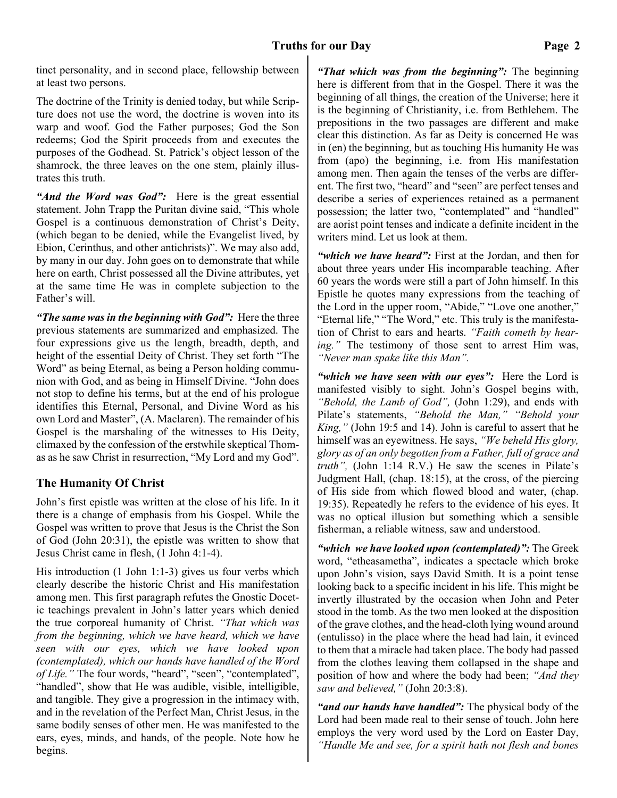tinct personality, and in second place, fellowship between at least two persons.

The doctrine of the Trinity is denied today, but while Scripture does not use the word, the doctrine is woven into its warp and woof. God the Father purposes; God the Son redeems; God the Spirit proceeds from and executes the purposes of the Godhead. St. Patrick's object lesson of the shamrock, the three leaves on the one stem, plainly illustrates this truth.

*"And the Word was God":* Here is the great essential statement. John Trapp the Puritan divine said, "This whole Gospel is a continuous demonstration of Christ's Deity, (which began to be denied, while the Evangelist lived, by Ebion, Cerinthus, and other antichrists)". We may also add, by many in our day. John goes on to demonstrate that while here on earth, Christ possessed all the Divine attributes, yet at the same time He was in complete subjection to the Father's will.

*"The same was in the beginning with God":* Here the three previous statements are summarized and emphasized. The four expressions give us the length, breadth, depth, and height of the essential Deity of Christ. They set forth "The Word" as being Eternal, as being a Person holding communion with God, and as being in Himself Divine. "John does not stop to define his terms, but at the end of his prologue identifies this Eternal, Personal, and Divine Word as his own Lord and Master", (A. Maclaren). The remainder of his Gospel is the marshaling of the witnesses to His Deity, climaxed by the confession of the erstwhile skeptical Thomas as he saw Christ in resurrection, "My Lord and my God".

#### **The Humanity Of Christ**

John's first epistle was written at the close of his life. In it there is a change of emphasis from his Gospel. While the Gospel was written to prove that Jesus is the Christ the Son of God (John 20:31), the epistle was written to show that Jesus Christ came in flesh, (1 John 4:1-4).

His introduction (1 John 1:1-3) gives us four verbs which clearly describe the historic Christ and His manifestation among men. This first paragraph refutes the Gnostic Docetic teachings prevalent in John's latter years which denied the true corporeal humanity of Christ. *"That which was from the beginning, which we have heard, which we have seen with our eyes, which we have looked upon (contemplated), which our hands have handled of the Word of Life."* The four words, "heard", "seen", "contemplated", "handled", show that He was audible, visible, intelligible, and tangible. They give a progression in the intimacy with, and in the revelation of the Perfect Man, Christ Jesus, in the same bodily senses of other men. He was manifested to the ears, eyes, minds, and hands, of the people. Note how he begins.

*"That which was from the beginning":* The beginning here is different from that in the Gospel. There it was the beginning of all things, the creation of the Universe; here it is the beginning of Christianity, i.e. from Bethlehem. The prepositions in the two passages are different and make clear this distinction. As far as Deity is concerned He was in (en) the beginning, but as touching His humanity He was from (apo) the beginning, i.e. from His manifestation among men. Then again the tenses of the verbs are different. The first two, "heard" and "seen" are perfect tenses and describe a series of experiences retained as a permanent possession; the latter two, "contemplated" and "handled" are aorist point tenses and indicate a definite incident in the writers mind. Let us look at them.

*"which we have heard":* First at the Jordan, and then for about three years under His incomparable teaching. After 60 years the words were still a part of John himself. In this Epistle he quotes many expressions from the teaching of the Lord in the upper room, "Abide," "Love one another," "Eternal life," "The Word," etc. This truly is the manifestation of Christ to ears and hearts. *"Faith cometh by hearing."* The testimony of those sent to arrest Him was, *"Never man spake like this Man".*

*"which we have seen with our eyes":* Here the Lord is manifested visibly to sight. John's Gospel begins with, *"Behold, the Lamb of God",* (John 1:29), and ends with Pilate's statements, *"Behold the Man," "Behold your King,"* (John 19:5 and 14). John is careful to assert that he himself was an eyewitness. He says, *"We beheld His glory, glory as of an only begotten from a Father, full of grace and truth",* (John 1:14 R.V.) He saw the scenes in Pilate's Judgment Hall, (chap. 18:15), at the cross, of the piercing of His side from which flowed blood and water, (chap. 19:35). Repeatedly he refers to the evidence of his eyes. It was no optical illusion but something which a sensible fisherman, a reliable witness, saw and understood.

*"which we have looked upon (contemplated)":* The Greek word, "etheasametha", indicates a spectacle which broke upon John's vision, says David Smith. It is a point tense looking back to a specific incident in his life. This might be invertly illustrated by the occasion when John and Peter stood in the tomb. As the two men looked at the disposition of the grave clothes, and the head-cloth lying wound around (entulisso) in the place where the head had lain, it evinced to them that a miracle had taken place. The body had passed from the clothes leaving them collapsed in the shape and position of how and where the body had been; *"And they saw and believed,"* (John 20:3:8).

*"and our hands have handled":* The physical body of the Lord had been made real to their sense of touch. John here employs the very word used by the Lord on Easter Day, *"Handle Me and see, for a spirit hath not flesh and bones*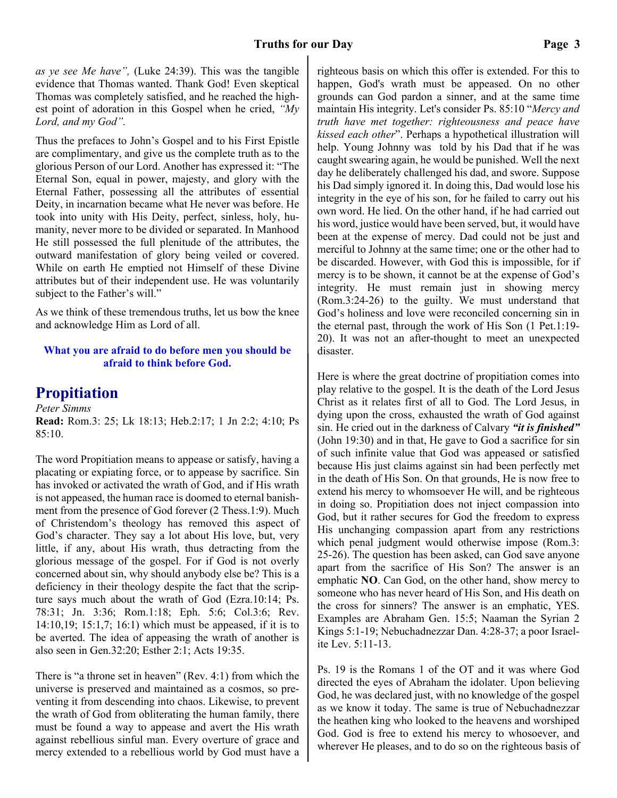*as ye see Me have",* (Luke 24:39). This was the tangible evidence that Thomas wanted. Thank God! Even skeptical Thomas was completely satisfied, and he reached the highest point of adoration in this Gospel when he cried, *"My Lord, and my God".*

Thus the prefaces to John's Gospel and to his First Epistle are complimentary, and give us the complete truth as to the glorious Person of our Lord. Another has expressed it: "The Eternal Son, equal in power, majesty, and glory with the Eternal Father, possessing all the attributes of essential Deity, in incarnation became what He never was before. He took into unity with His Deity, perfect, sinless, holy, humanity, never more to be divided or separated. In Manhood He still possessed the full plenitude of the attributes, the outward manifestation of glory being veiled or covered. While on earth He emptied not Himself of these Divine attributes but of their independent use. He was voluntarily subject to the Father's will."

As we think of these tremendous truths, let us bow the knee and acknowledge Him as Lord of all.

#### **What you are afraid to do before men you should be afraid to think before God.**

# **Propitiation**

*Peter Simms* **Read:** Rom.3: 25; Lk 18:13; Heb.2:17; 1 Jn 2:2; 4:10; Ps 85:10.

The word Propitiation means to appease or satisfy, having a placating or expiating force, or to appease by sacrifice. Sin has invoked or activated the wrath of God, and if His wrath is not appeased, the human race is doomed to eternal banishment from the presence of God forever (2 Thess.1:9). Much of Christendom's theology has removed this aspect of God's character. They say a lot about His love, but, very little, if any, about His wrath, thus detracting from the glorious message of the gospel. For if God is not overly concerned about sin, why should anybody else be? This is a deficiency in their theology despite the fact that the scripture says much about the wrath of God (Ezra.10:14; Ps. 78:31; Jn. 3:36; Rom.1:18; Eph. 5:6; Col.3:6; Rev. 14:10,19; 15:1,7; 16:1) which must be appeased, if it is to be averted. The idea of appeasing the wrath of another is also seen in Gen.32:20; Esther 2:1; Acts 19:35.

There is "a throne set in heaven" (Rev. 4:1) from which the universe is preserved and maintained as a cosmos, so preventing it from descending into chaos. Likewise, to prevent the wrath of God from obliterating the human family, there must be found a way to appease and avert the His wrath against rebellious sinful man. Every overture of grace and mercy extended to a rebellious world by God must have a

righteous basis on which this offer is extended. For this to happen, God's wrath must be appeased. On no other grounds can God pardon a sinner, and at the same time maintain His integrity. Let's consider Ps. 85:10 "*Mercy and truth have met together: righteousness and peace have kissed each other*". Perhaps a hypothetical illustration will help. Young Johnny was told by his Dad that if he was caught swearing again, he would be punished. Well the next day he deliberately challenged his dad, and swore. Suppose his Dad simply ignored it. In doing this, Dad would lose his integrity in the eye of his son, for he failed to carry out his own word. He lied. On the other hand, if he had carried out his word, justice would have been served, but, it would have been at the expense of mercy. Dad could not be just and merciful to Johnny at the same time; one or the other had to be discarded. However, with God this is impossible, for if mercy is to be shown, it cannot be at the expense of God's integrity. He must remain just in showing mercy (Rom.3:24-26) to the guilty. We must understand that God's holiness and love were reconciled concerning sin in the eternal past, through the work of His Son (1 Pet.1:19- 20). It was not an after-thought to meet an unexpected disaster.

Here is where the great doctrine of propitiation comes into play relative to the gospel. It is the death of the Lord Jesus Christ as it relates first of all to God. The Lord Jesus, in dying upon the cross, exhausted the wrath of God against sin. He cried out in the darkness of Calvary *"it is finished"* (John 19:30) and in that, He gave to God a sacrifice for sin of such infinite value that God was appeased or satisfied because His just claims against sin had been perfectly met in the death of His Son. On that grounds, He is now free to extend his mercy to whomsoever He will, and be righteous in doing so. Propitiation does not inject compassion into God, but it rather secures for God the freedom to express His unchanging compassion apart from any restrictions which penal judgment would otherwise impose (Rom.3: 25-26). The question has been asked, can God save anyone apart from the sacrifice of His Son? The answer is an emphatic **NO**. Can God, on the other hand, show mercy to someone who has never heard of His Son, and His death on the cross for sinners? The answer is an emphatic, YES. Examples are Abraham Gen. 15:5; Naaman the Syrian 2 Kings 5:1-19; Nebuchadnezzar Dan. 4:28-37; a poor Israelite Lev. 5:11-13.

Ps. 19 is the Romans 1 of the OT and it was where God directed the eyes of Abraham the idolater. Upon believing God, he was declared just, with no knowledge of the gospel as we know it today. The same is true of Nebuchadnezzar the heathen king who looked to the heavens and worshiped God. God is free to extend his mercy to whosoever, and wherever He pleases, and to do so on the righteous basis of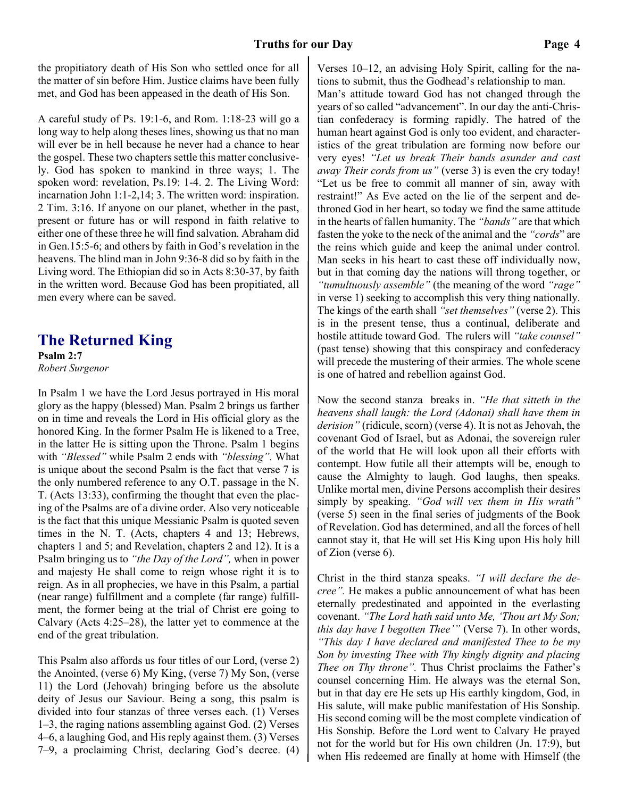the propitiatory death of His Son who settled once for all the matter of sin before Him. Justice claims have been fully met, and God has been appeased in the death of His Son.

A careful study of Ps. 19:1-6, and Rom. 1:18-23 will go a long way to help along theses lines, showing us that no man will ever be in hell because he never had a chance to hear the gospel. These two chapters settle this matter conclusively. God has spoken to mankind in three ways; 1. The spoken word: revelation, Ps.19: 1-4. 2. The Living Word: incarnation John 1:1-2,14; 3. The written word: inspiration. 2 Tim. 3:16. If anyone on our planet, whether in the past, present or future has or will respond in faith relative to either one of these three he will find salvation. Abraham did in Gen.15:5-6; and others by faith in God's revelation in the heavens. The blind man in John 9:36-8 did so by faith in the Living word. The Ethiopian did so in Acts 8:30-37, by faith in the written word. Because God has been propitiated, all men every where can be saved.

## **The Returned King**

**Psalm 2:7** *Robert Surgenor*

In Psalm 1 we have the Lord Jesus portrayed in His moral glory as the happy (blessed) Man. Psalm 2 brings us farther on in time and reveals the Lord in His official glory as the honored King. In the former Psalm He is likened to a Tree, in the latter He is sitting upon the Throne. Psalm 1 begins with *"Blessed"* while Psalm 2 ends with *"blessing".* What is unique about the second Psalm is the fact that verse 7 is the only numbered reference to any O.T. passage in the N. T. (Acts 13:33), confirming the thought that even the placing of the Psalms are of a divine order. Also very noticeable is the fact that this unique Messianic Psalm is quoted seven times in the N. T. (Acts, chapters 4 and 13; Hebrews, chapters 1 and 5; and Revelation, chapters 2 and 12). It is a Psalm bringing us to *"the Day of the Lord",* when in power and majesty He shall come to reign whose right it is to reign. As in all prophecies, we have in this Psalm, a partial (near range) fulfillment and a complete (far range) fulfillment, the former being at the trial of Christ ere going to Calvary (Acts 4:25–28), the latter yet to commence at the end of the great tribulation.

This Psalm also affords us four titles of our Lord, (verse 2) the Anointed, (verse 6) My King, (verse 7) My Son, (verse 11) the Lord (Jehovah) bringing before us the absolute deity of Jesus our Saviour. Being a song, this psalm is divided into four stanzas of three verses each. (1) Verses 1–3, the raging nations assembling against God. (2) Verses 4–6, a laughing God, and His reply against them. (3) Verses 7–9, a proclaiming Christ, declaring God's decree. (4)

Verses 10–12, an advising Holy Spirit, calling for the nations to submit, thus the Godhead's relationship to man.

Man's attitude toward God has not changed through the years of so called "advancement". In our day the anti-Christian confederacy is forming rapidly. The hatred of the human heart against God is only too evident, and characteristics of the great tribulation are forming now before our very eyes! *"Let us break Their bands asunder and cast away Their cords from us"* (verse 3) is even the cry today! "Let us be free to commit all manner of sin, away with restraint!" As Eve acted on the lie of the serpent and dethroned God in her heart, so today we find the same attitude in the hearts of fallen humanity. The *"bands"* are that which fasten the yoke to the neck of the animal and the *"cords*" are the reins which guide and keep the animal under control. Man seeks in his heart to cast these off individually now, but in that coming day the nations will throng together, or *"tumultuously assemble"* (the meaning of the word *"rage"* in verse 1) seeking to accomplish this very thing nationally. The kings of the earth shall *"set themselves"* (verse 2). This is in the present tense, thus a continual, deliberate and hostile attitude toward God. The rulers will *"take counsel"* (past tense) showing that this conspiracy and confederacy will precede the mustering of their armies. The whole scene is one of hatred and rebellion against God.

Now the second stanza breaks in. *"He that sitteth in the heavens shall laugh: the Lord (Adonai) shall have them in derision"* (ridicule, scorn) (verse 4). It is not as Jehovah, the covenant God of Israel, but as Adonai, the sovereign ruler of the world that He will look upon all their efforts with contempt. How futile all their attempts will be, enough to cause the Almighty to laugh. God laughs, then speaks. Unlike mortal men, divine Persons accomplish their desires simply by speaking. *"God will vex them in His wrath"* (verse 5) seen in the final series of judgments of the Book of Revelation. God has determined, and all the forces of hell cannot stay it, that He will set His King upon His holy hill of Zion (verse 6).

Christ in the third stanza speaks. *"I will declare the decree".* He makes a public announcement of what has been eternally predestinated and appointed in the everlasting covenant. *"The Lord hath said unto Me, 'Thou art My Son; this day have I begotten Thee'"* (Verse 7). In other words, *"This day I have declared and manifested Thee to be my Son by investing Thee with Thy kingly dignity and placing Thee on Thy throne".* Thus Christ proclaims the Father's counsel concerning Him. He always was the eternal Son, but in that day ere He sets up His earthly kingdom, God, in His salute, will make public manifestation of His Sonship. His second coming will be the most complete vindication of His Sonship. Before the Lord went to Calvary He prayed not for the world but for His own children (Jn. 17:9), but when His redeemed are finally at home with Himself (the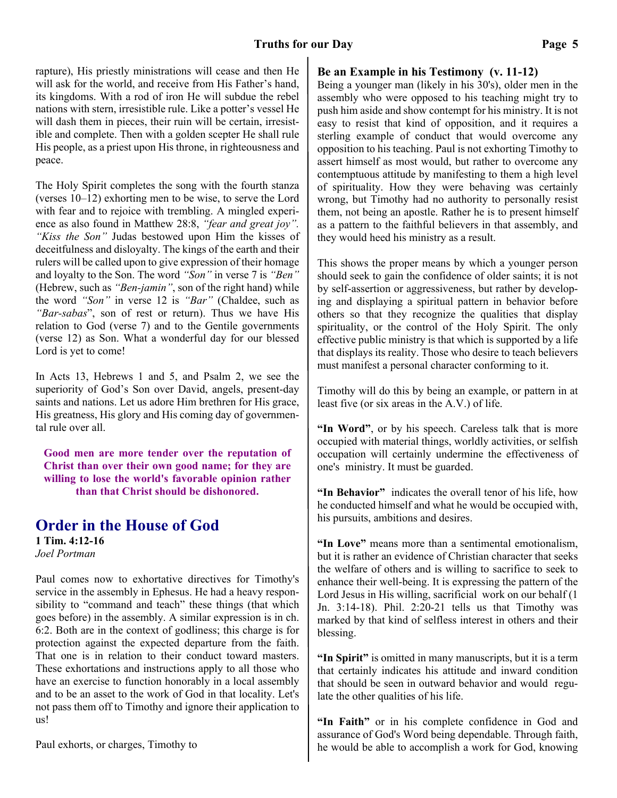#### **Truths for our Day Page 5**

rapture), His priestly ministrations will cease and then He will ask for the world, and receive from His Father's hand, its kingdoms. With a rod of iron He will subdue the rebel nations with stern, irresistible rule. Like a potter's vessel He will dash them in pieces, their ruin will be certain, irresistible and complete. Then with a golden scepter He shall rule His people, as a priest upon His throne, in righteousness and peace.

The Holy Spirit completes the song with the fourth stanza (verses 10–12) exhorting men to be wise, to serve the Lord with fear and to rejoice with trembling. A mingled experience as also found in Matthew 28:8, *"fear and great joy". "Kiss the Son"* Judas bestowed upon Him the kisses of deceitfulness and disloyalty. The kings of the earth and their rulers will be called upon to give expression of their homage and loyalty to the Son. The word *"Son"* in verse 7 is *"Ben"* (Hebrew, such as *"Ben-jamin"*, son of the right hand) while the word *"Son"* in verse 12 is *"Bar"* (Chaldee, such as *"Bar-sabas*", son of rest or return). Thus we have His relation to God (verse 7) and to the Gentile governments (verse 12) as Son. What a wonderful day for our blessed Lord is yet to come!

In Acts 13, Hebrews 1 and 5, and Psalm 2, we see the superiority of God's Son over David, angels, present-day saints and nations. Let us adore Him brethren for His grace, His greatness, His glory and His coming day of governmental rule over all.

**Good men are more tender over the reputation of Christ than over their own good name; for they are willing to lose the world's favorable opinion rather than that Christ should be dishonored.**

# **Order in the House of God**

**1 Tim. 4:12-16** *Joel Portman*

Paul comes now to exhortative directives for Timothy's service in the assembly in Ephesus. He had a heavy responsibility to "command and teach" these things (that which goes before) in the assembly. A similar expression is in ch. 6:2. Both are in the context of godliness; this charge is for protection against the expected departure from the faith. That one is in relation to their conduct toward masters. These exhortations and instructions apply to all those who have an exercise to function honorably in a local assembly and to be an asset to the work of God in that locality. Let's not pass them off to Timothy and ignore their application to us!

Paul exhorts, or charges, Timothy to

#### **Be an Example in his Testimony (v. 11-12)**

Being a younger man (likely in his 30's), older men in the assembly who were opposed to his teaching might try to push him aside and show contempt for his ministry. It is not easy to resist that kind of opposition, and it requires a sterling example of conduct that would overcome any opposition to his teaching. Paul is not exhorting Timothy to assert himself as most would, but rather to overcome any contemptuous attitude by manifesting to them a high level of spirituality. How they were behaving was certainly wrong, but Timothy had no authority to personally resist them, not being an apostle. Rather he is to present himself as a pattern to the faithful believers in that assembly, and they would heed his ministry as a result.

This shows the proper means by which a younger person should seek to gain the confidence of older saints; it is not by self-assertion or aggressiveness, but rather by developing and displaying a spiritual pattern in behavior before others so that they recognize the qualities that display spirituality, or the control of the Holy Spirit. The only effective public ministry is that which is supported by a life that displays its reality. Those who desire to teach believers must manifest a personal character conforming to it.

Timothy will do this by being an example, or pattern in at least five (or six areas in the A.V.) of life.

**"In Word"**, or by his speech. Careless talk that is more occupied with material things, worldly activities, or selfish occupation will certainly undermine the effectiveness of one's ministry. It must be guarded.

**"In Behavior"** indicates the overall tenor of his life, how he conducted himself and what he would be occupied with, his pursuits, ambitions and desires.

**"In Love"** means more than a sentimental emotionalism, but it is rather an evidence of Christian character that seeks the welfare of others and is willing to sacrifice to seek to enhance their well-being. It is expressing the pattern of the Lord Jesus in His willing, sacrificial work on our behalf (1 Jn. 3:14-18). Phil. 2:20-21 tells us that Timothy was marked by that kind of selfless interest in others and their blessing.

**"In Spirit"** is omitted in many manuscripts, but it is a term that certainly indicates his attitude and inward condition that should be seen in outward behavior and would regulate the other qualities of his life.

**"In Faith"** or in his complete confidence in God and assurance of God's Word being dependable. Through faith, he would be able to accomplish a work for God, knowing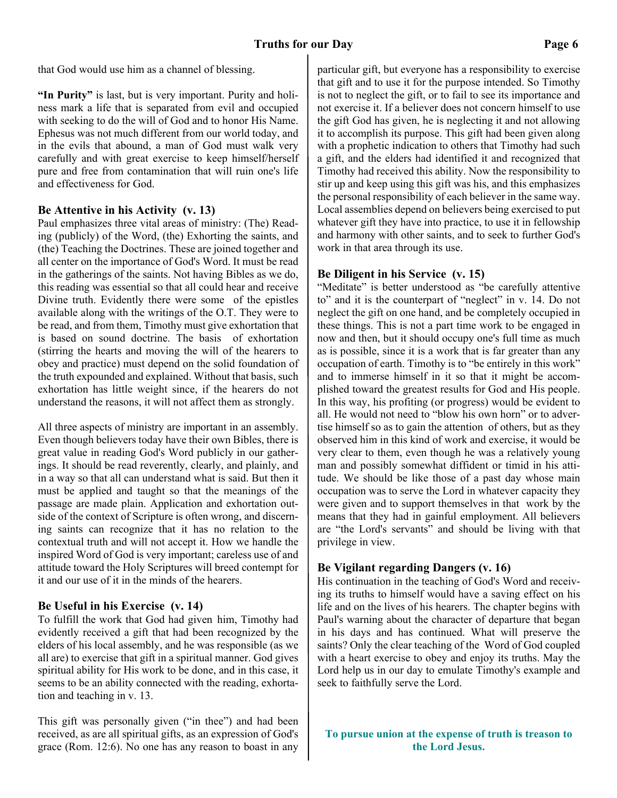that God would use him as a channel of blessing.

**"In Purity"** is last, but is very important. Purity and holiness mark a life that is separated from evil and occupied with seeking to do the will of God and to honor His Name. Ephesus was not much different from our world today, and in the evils that abound, a man of God must walk very carefully and with great exercise to keep himself/herself pure and free from contamination that will ruin one's life and effectiveness for God.

#### **Be Attentive in his Activity (v. 13)**

Paul emphasizes three vital areas of ministry: (The) Reading (publicly) of the Word, (the) Exhorting the saints, and (the) Teaching the Doctrines. These are joined together and all center on the importance of God's Word. It must be read in the gatherings of the saints. Not having Bibles as we do, this reading was essential so that all could hear and receive Divine truth. Evidently there were some of the epistles available along with the writings of the O.T. They were to be read, and from them, Timothy must give exhortation that is based on sound doctrine. The basis of exhortation (stirring the hearts and moving the will of the hearers to obey and practice) must depend on the solid foundation of the truth expounded and explained. Without that basis, such exhortation has little weight since, if the hearers do not understand the reasons, it will not affect them as strongly.

All three aspects of ministry are important in an assembly. Even though believers today have their own Bibles, there is great value in reading God's Word publicly in our gatherings. It should be read reverently, clearly, and plainly, and in a way so that all can understand what is said. But then it must be applied and taught so that the meanings of the passage are made plain. Application and exhortation outside of the context of Scripture is often wrong, and discerning saints can recognize that it has no relation to the contextual truth and will not accept it. How we handle the inspired Word of God is very important; careless use of and attitude toward the Holy Scriptures will breed contempt for it and our use of it in the minds of the hearers.

#### **Be Useful in his Exercise (v. 14)**

To fulfill the work that God had given him, Timothy had evidently received a gift that had been recognized by the elders of his local assembly, and he was responsible (as we all are) to exercise that gift in a spiritual manner. God gives spiritual ability for His work to be done, and in this case, it seems to be an ability connected with the reading, exhortation and teaching in v. 13.

This gift was personally given ("in thee") and had been received, as are all spiritual gifts, as an expression of God's grace (Rom. 12:6). No one has any reason to boast in any particular gift, but everyone has a responsibility to exercise that gift and to use it for the purpose intended. So Timothy is not to neglect the gift, or to fail to see its importance and not exercise it. If a believer does not concern himself to use the gift God has given, he is neglecting it and not allowing it to accomplish its purpose. This gift had been given along with a prophetic indication to others that Timothy had such a gift, and the elders had identified it and recognized that Timothy had received this ability. Now the responsibility to stir up and keep using this gift was his, and this emphasizes the personal responsibility of each believer in the same way. Local assemblies depend on believers being exercised to put whatever gift they have into practice, to use it in fellowship and harmony with other saints, and to seek to further God's work in that area through its use.

#### **Be Diligent in his Service (v. 15)**

"Meditate" is better understood as "be carefully attentive to" and it is the counterpart of "neglect" in v. 14. Do not neglect the gift on one hand, and be completely occupied in these things. This is not a part time work to be engaged in now and then, but it should occupy one's full time as much as is possible, since it is a work that is far greater than any occupation of earth. Timothy is to "be entirely in this work" and to immerse himself in it so that it might be accomplished toward the greatest results for God and His people. In this way, his profiting (or progress) would be evident to all. He would not need to "blow his own horn" or to advertise himself so as to gain the attention of others, but as they observed him in this kind of work and exercise, it would be very clear to them, even though he was a relatively young man and possibly somewhat diffident or timid in his attitude. We should be like those of a past day whose main occupation was to serve the Lord in whatever capacity they were given and to support themselves in that work by the means that they had in gainful employment. All believers are "the Lord's servants" and should be living with that privilege in view.

#### **Be Vigilant regarding Dangers (v. 16)**

His continuation in the teaching of God's Word and receiving its truths to himself would have a saving effect on his life and on the lives of his hearers. The chapter begins with Paul's warning about the character of departure that began in his days and has continued. What will preserve the saints? Only the clear teaching of the Word of God coupled with a heart exercise to obey and enjoy its truths. May the Lord help us in our day to emulate Timothy's example and seek to faithfully serve the Lord.

**To pursue union at the expense of truth is treason to the Lord Jesus.**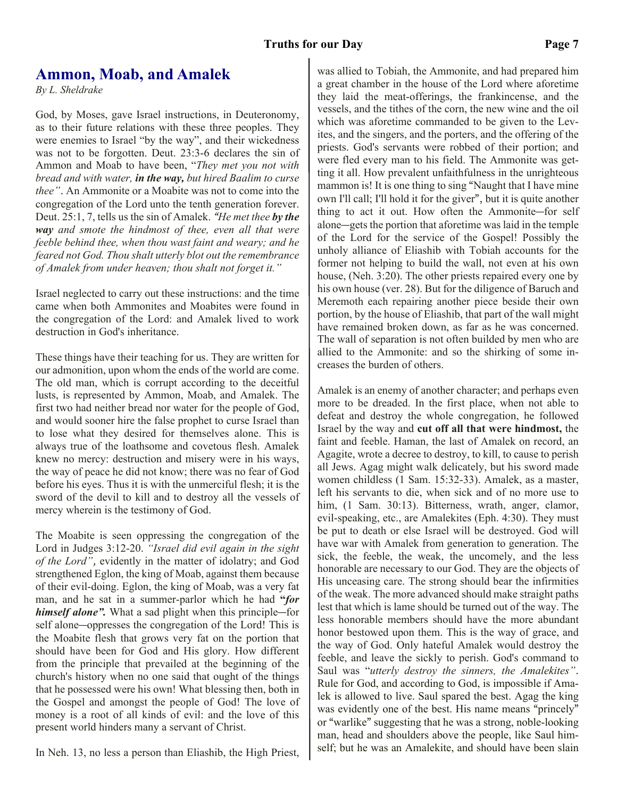#### **Truths for our Day Page 7**

## **Ammon, Moab, and Amalek**

*By L. Sheldrake*

God, by Moses, gave Israel instructions, in Deuteronomy, as to their future relations with these three peoples. They were enemies to Israel "by the way", and their wickedness was not to be forgotten. Deut. 23:3-6 declares the sin of Ammon and Moab to have been, "*They met you not with bread and with water, in the way, but hired Baalim to curse thee".* An Ammonite or a Moabite was not to come into the congregation of the Lord unto the tenth generation forever. Deut. 25:1, 7, tells us the sin of Amalek. *"He met thee by the way and smote the hindmost of thee, even all that were feeble behind thee, when thou wast faint and weary; and he feared not God. Thou shalt utterly blot out the remembrance of Amalek from under heaven; thou shalt not forget it."*

Israel neglected to carry out these instructions: and the time came when both Ammonites and Moabites were found in the congregation of the Lord: and Amalek lived to work destruction in God's inheritance.

These things have their teaching for us. They are written for our admonition, upon whom the ends of the world are come. The old man, which is corrupt according to the deceitful lusts, is represented by Ammon, Moab, and Amalek. The first two had neither bread nor water for the people of God, and would sooner hire the false prophet to curse Israel than to lose what they desired for themselves alone. This is always true of the loathsome and covetous flesh. Amalek knew no mercy: destruction and misery were in his ways, the way of peace he did not know; there was no fear of God before his eyes. Thus it is with the unmerciful flesh; it is the sword of the devil to kill and to destroy all the vessels of mercy wherein is the testimony of God.

The Moabite is seen oppressing the congregation of the Lord in Judges 3:12-20. *"Israel did evil again in the sight of the Lord",* evidently in the matter of idolatry; and God strengthened Eglon, the king of Moab, against them because of their evil-doing. Eglon, the king of Moab, was a very fat man, and he sat in a summer-parlor which he had **"***for himself alone".* What a sad plight when this principle―for self alone―oppresses the congregation of the Lord! This is the Moabite flesh that grows very fat on the portion that should have been for God and His glory. How different from the principle that prevailed at the beginning of the church's history when no one said that ought of the things that he possessed were his own! What blessing then, both in the Gospel and amongst the people of God! The love of money is a root of all kinds of evil: and the love of this present world hinders many a servant of Christ.

In Neh. 13, no less a person than Eliashib, the High Priest,

was allied to Tobiah, the Ammonite, and had prepared him a great chamber in the house of the Lord where aforetime they laid the meat-offerings, the frankincense, and the vessels, and the tithes of the corn, the new wine and the oil which was aforetime commanded to be given to the Levites, and the singers, and the porters, and the offering of the priests. God's servants were robbed of their portion; and were fled every man to his field. The Ammonite was getting it all. How prevalent unfaithfulness in the unrighteous mammon is! It is one thing to sing "Naught that I have mine own I'll call; I'll hold it for the giver", but it is quite another thing to act it out. How often the Ammonite―for self alone―gets the portion that aforetime was laid in the temple of the Lord for the service of the Gospel! Possibly the unholy alliance of Eliashib with Tobiah accounts for the former not helping to build the wall, not even at his own house, (Neh. 3:20). The other priests repaired every one by his own house (ver. 28). But for the diligence of Baruch and Meremoth each repairing another piece beside their own portion, by the house of Eliashib, that part of the wall might have remained broken down, as far as he was concerned. The wall of separation is not often builded by men who are allied to the Ammonite: and so the shirking of some increases the burden of others.

Amalek is an enemy of another character; and perhaps even more to be dreaded. In the first place, when not able to defeat and destroy the whole congregation, he followed Israel by the way and **cut off all that were hindmost,** the faint and feeble. Haman, the last of Amalek on record, an Agagite, wrote a decree to destroy, to kill, to cause to perish all Jews. Agag might walk delicately, but his sword made women childless (1 Sam. 15:32-33). Amalek, as a master, left his servants to die, when sick and of no more use to him,  $(1 \text{ Sam. } 30:13)$ . Bitterness, wrath, anger, clamor, evil-speaking, etc., are Amalekites (Eph. 4:30). They must be put to death or else Israel will be destroyed. God will have war with Amalek from generation to generation. The sick, the feeble, the weak, the uncomely, and the less honorable are necessary to our God. They are the objects of His unceasing care. The strong should bear the infirmities of the weak. The more advanced should make straight paths lest that which is lame should be turned out of the way. The less honorable members should have the more abundant honor bestowed upon them. This is the way of grace, and the way of God. Only hateful Amalek would destroy the feeble, and leave the sickly to perish. God's command to Saul was "*utterly destroy the sinners, the Amalekites".* Rule for God, and according to God, is impossible if Amalek is allowed to live. Saul spared the best. Agag the king was evidently one of the best. His name means "princely" or "warlike" suggesting that he was a strong, noble-looking man, head and shoulders above the people, like Saul himself; but he was an Amalekite, and should have been slain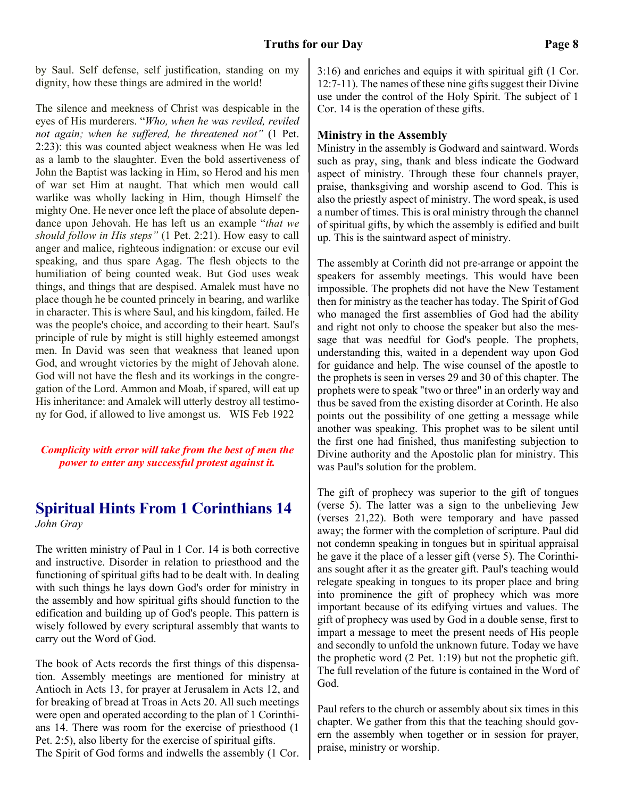by Saul. Self defense, self justification, standing on my dignity, how these things are admired in the world!

The silence and meekness of Christ was despicable in the eyes of His murderers. "*Who, when he was reviled, reviled not again; when he suffered, he threatened not"* (1 Pet. 2:23): this was counted abject weakness when He was led as a lamb to the slaughter. Even the bold assertiveness of John the Baptist was lacking in Him, so Herod and his men of war set Him at naught. That which men would call warlike was wholly lacking in Him, though Himself the mighty One. He never once left the place of absolute dependance upon Jehovah. He has left us an example "*that we should follow in His steps"* (1 Pet. 2:21). How easy to call anger and malice, righteous indignation: or excuse our evil speaking, and thus spare Agag. The flesh objects to the humiliation of being counted weak. But God uses weak things, and things that are despised. Amalek must have no place though he be counted princely in bearing, and warlike in character. This is where Saul, and his kingdom, failed. He was the people's choice, and according to their heart. Saul's principle of rule by might is still highly esteemed amongst men. In David was seen that weakness that leaned upon God, and wrought victories by the might of Jehovah alone. God will not have the flesh and its workings in the congregation of the Lord. Ammon and Moab, if spared, will eat up His inheritance: and Amalek will utterly destroy all testimony for God, if allowed to live amongst us. WIS Feb 1922

*Complicity with error will take from the best of men the power to enter any successful protest against it.*

# **Spiritual Hints From 1 Corinthians 14**

*John Gray*

The written ministry of Paul in 1 Cor. 14 is both corrective and instructive. Disorder in relation to priesthood and the functioning of spiritual gifts had to be dealt with. In dealing with such things he lays down God's order for ministry in the assembly and how spiritual gifts should function to the edification and building up of God's people. This pattern is wisely followed by every scriptural assembly that wants to carry out the Word of God.

The book of Acts records the first things of this dispensation. Assembly meetings are mentioned for ministry at Antioch in Acts 13, for prayer at Jerusalem in Acts 12, and for breaking of bread at Troas in Acts 20. All such meetings were open and operated according to the plan of 1 Corinthians 14. There was room for the exercise of priesthood (1 Pet. 2:5), also liberty for the exercise of spiritual gifts. The Spirit of God forms and indwells the assembly (1 Cor. 3:16) and enriches and equips it with spiritual gift (1 Cor. 12:7-11). The names of these nine gifts suggest their Divine use under the control of the Holy Spirit. The subject of 1 Cor. 14 is the operation of these gifts.

#### **Ministry in the Assembly**

Ministry in the assembly is Godward and saintward. Words such as pray, sing, thank and bless indicate the Godward aspect of ministry. Through these four channels prayer, praise, thanksgiving and worship ascend to God. This is also the priestly aspect of ministry. The word speak, is used a number of times. This is oral ministry through the channel of spiritual gifts, by which the assembly is edified and built up. This is the saintward aspect of ministry.

The assembly at Corinth did not pre-arrange or appoint the speakers for assembly meetings. This would have been impossible. The prophets did not have the New Testament then for ministry as the teacher has today. The Spirit of God who managed the first assemblies of God had the ability and right not only to choose the speaker but also the message that was needful for God's people. The prophets, understanding this, waited in a dependent way upon God for guidance and help. The wise counsel of the apostle to the prophets is seen in verses 29 and 30 of this chapter. The prophets were to speak "two or three" in an orderly way and thus be saved from the existing disorder at Corinth. He also points out the possibility of one getting a message while another was speaking. This prophet was to be silent until the first one had finished, thus manifesting subjection to Divine authority and the Apostolic plan for ministry. This was Paul's solution for the problem.

The gift of prophecy was superior to the gift of tongues (verse 5). The latter was a sign to the unbelieving Jew (verses 21,22). Both were temporary and have passed away; the former with the completion of scripture. Paul did not condemn speaking in tongues but in spiritual appraisal he gave it the place of a lesser gift (verse 5). The Corinthians sought after it as the greater gift. Paul's teaching would relegate speaking in tongues to its proper place and bring into prominence the gift of prophecy which was more important because of its edifying virtues and values. The gift of prophecy was used by God in a double sense, first to impart a message to meet the present needs of His people and secondly to unfold the unknown future. Today we have the prophetic word (2 Pet. 1:19) but not the prophetic gift. The full revelation of the future is contained in the Word of God.

Paul refers to the church or assembly about six times in this chapter. We gather from this that the teaching should govern the assembly when together or in session for prayer, praise, ministry or worship.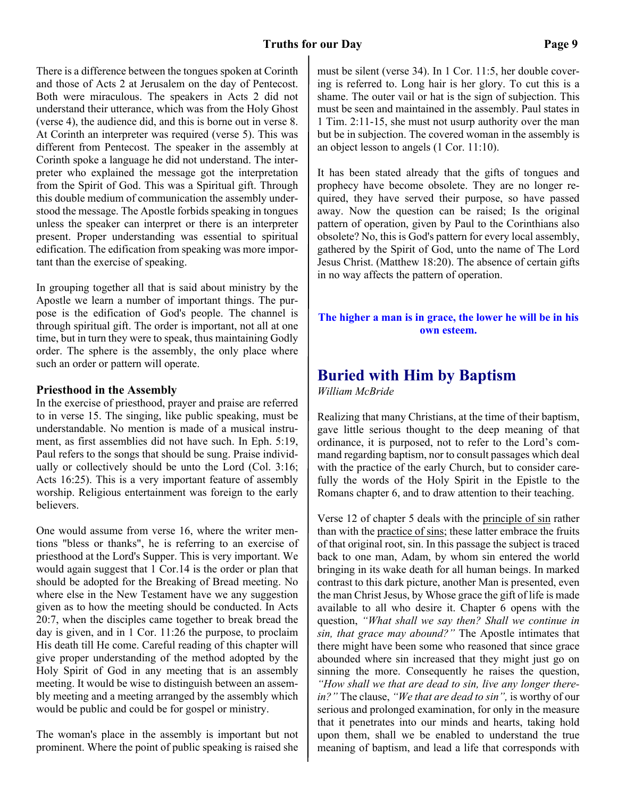There is a difference between the tongues spoken at Corinth and those of Acts 2 at Jerusalem on the day of Pentecost. Both were miraculous. The speakers in Acts 2 did not understand their utterance, which was from the Holy Ghost (verse 4), the audience did, and this is borne out in verse 8. At Corinth an interpreter was required (verse 5). This was different from Pentecost. The speaker in the assembly at Corinth spoke a language he did not understand. The interpreter who explained the message got the interpretation from the Spirit of God. This was a Spiritual gift. Through this double medium of communication the assembly understood the message. The Apostle forbids speaking in tongues unless the speaker can interpret or there is an interpreter present. Proper understanding was essential to spiritual edification. The edification from speaking was more important than the exercise of speaking.

In grouping together all that is said about ministry by the Apostle we learn a number of important things. The purpose is the edification of God's people. The channel is through spiritual gift. The order is important, not all at one time, but in turn they were to speak, thus maintaining Godly order. The sphere is the assembly, the only place where such an order or pattern will operate.

#### **Priesthood in the Assembly**

In the exercise of priesthood, prayer and praise are referred to in verse 15. The singing, like public speaking, must be understandable. No mention is made of a musical instrument, as first assemblies did not have such. In Eph. 5:19, Paul refers to the songs that should be sung. Praise individually or collectively should be unto the Lord (Col. 3:16; Acts 16:25). This is a very important feature of assembly worship. Religious entertainment was foreign to the early believers.

One would assume from verse 16, where the writer mentions "bless or thanks", he is referring to an exercise of priesthood at the Lord's Supper. This is very important. We would again suggest that 1 Cor.14 is the order or plan that should be adopted for the Breaking of Bread meeting. No where else in the New Testament have we any suggestion given as to how the meeting should be conducted. In Acts 20:7, when the disciples came together to break bread the day is given, and in 1 Cor. 11:26 the purpose, to proclaim His death till He come. Careful reading of this chapter will give proper understanding of the method adopted by the Holy Spirit of God in any meeting that is an assembly meeting. It would be wise to distinguish between an assembly meeting and a meeting arranged by the assembly which would be public and could be for gospel or ministry.

The woman's place in the assembly is important but not prominent. Where the point of public speaking is raised she

must be silent (verse 34). In 1 Cor. 11:5, her double covering is referred to. Long hair is her glory. To cut this is a shame. The outer vail or hat is the sign of subjection. This must be seen and maintained in the assembly. Paul states in 1 Tim. 2:11-15, she must not usurp authority over the man but be in subjection. The covered woman in the assembly is an object lesson to angels (1 Cor. 11:10).

It has been stated already that the gifts of tongues and prophecy have become obsolete. They are no longer required, they have served their purpose, so have passed away. Now the question can be raised; Is the original pattern of operation, given by Paul to the Corinthians also obsolete? No, this is God's pattern for every local assembly, gathered by the Spirit of God, unto the name of The Lord Jesus Christ. (Matthew 18:20). The absence of certain gifts in no way affects the pattern of operation.

#### **The higher a man is in grace, the lower he will be in his own esteem.**

# **Buried with Him by Baptism**

*William McBride*

Realizing that many Christians, at the time of their baptism, gave little serious thought to the deep meaning of that ordinance, it is purposed, not to refer to the Lord's command regarding baptism, nor to consult passages which deal with the practice of the early Church, but to consider carefully the words of the Holy Spirit in the Epistle to the Romans chapter 6, and to draw attention to their teaching.

Verse 12 of chapter 5 deals with the principle of sin rather than with the practice of sins; these latter embrace the fruits of that original root, sin. In this passage the subject is traced back to one man, Adam, by whom sin entered the world bringing in its wake death for all human beings. In marked contrast to this dark picture, another Man is presented, even the man Christ Jesus, by Whose grace the gift of life is made available to all who desire it. Chapter 6 opens with the question, *"What shall we say then? Shall we continue in sin, that grace may abound?"* The Apostle intimates that there might have been some who reasoned that since grace abounded where sin increased that they might just go on sinning the more. Consequently he raises the question, *"How shall we that are dead to sin, live any longer therein?"* The clause, *"We that are dead to sin",* is worthy of our serious and prolonged examination, for only in the measure that it penetrates into our minds and hearts, taking hold upon them, shall we be enabled to understand the true meaning of baptism, and lead a life that corresponds with